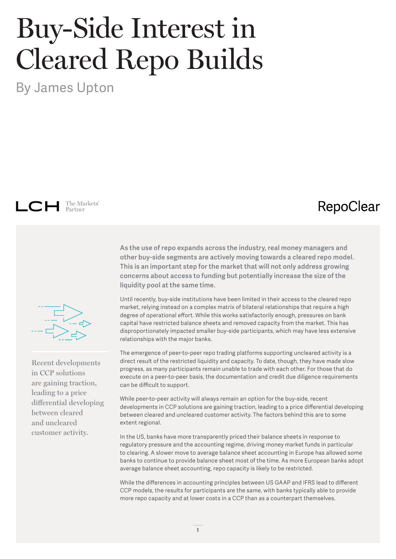## Buy-Side Interest in Cleared Repo Builds

By James Upton

LCH The Markets'

## **RepoClear**



Recent developments in CCP solutions are gaining traction, leading to a price differential developing between cleared and uncleared customer activity.

**As the use of repo expands across the industry, real money managers and other buy-side segments are actively moving towards a cleared repo model. This is an important step for the market that will not only address growing concerns about access to funding but potentially increase the size of the liquidity pool at the same time.**

Until recently, buy-side institutions have been limited in their access to the cleared repo market, relying instead on a complex matrix of bilateral relationships that require a high degree of operational effort. While this works satisfactorily enough, pressures on bank capital have restricted balance sheets and removed capacity from the market. This has disproportionately impacted smaller buy-side participants, which may have less extensive relationships with the major banks.

The emergence of peer-to-peer repo trading platforms supporting uncleared activity is a direct result of the restricted liquidity and capacity. To date, though, they have made slow progress, as many participants remain unable to trade with each other. For those that do execute on a peer-to-peer basis, the documentation and credit due diligence requirements can be difficult to support.

While peer-to-peer activity will always remain an option for the buy-side, recent developments in CCP solutions are gaining traction, leading to a price differential developing between cleared and uncleared customer activity. The factors behind this are to some extent regional.

In the US, banks have more transparently priced their balance sheets in response to regulatory pressure and the accounting regime, driving money market funds in particular to clearing. A slower move to average balance sheet accounting in Europe has allowed some banks to continue to provide balance sheet most of the time. As more European banks adopt average balance sheet accounting, repo capacity is likely to be restricted.

While the differences in accounting principles between US GAAP and IFRS lead to different CCP models, the results for participants are the same, with banks typically able to provide more repo capacity and at lower costs in a CCP than as a counterpart themselves.